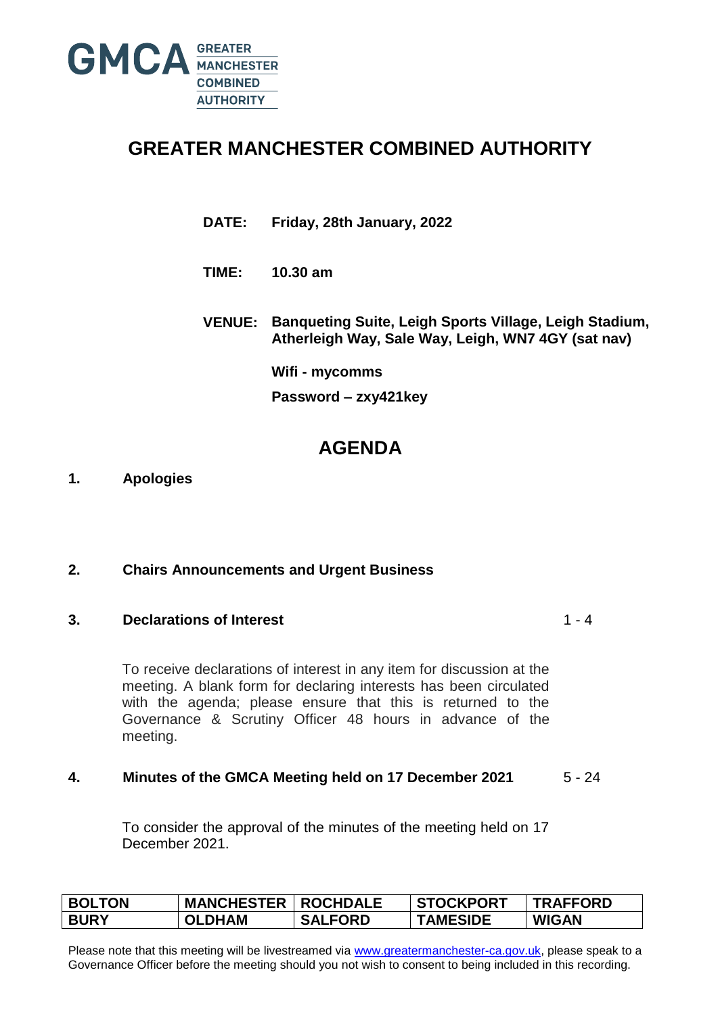

# **GREATER MANCHESTER COMBINED AUTHORITY**

- **DATE: Friday, 28th January, 2022**
- **TIME: 10.30 am**
- **VENUE: Banqueting Suite, Leigh Sports Village, Leigh Stadium, Atherleigh Way, Sale Way, Leigh, WN7 4GY (sat nav)**

**Wifi - mycomms**

**Password – zxy421key**

# **AGENDA**

### **1. Apologies**

### **2. Chairs Announcements and Urgent Business**

### **3. Declarations of Interest**

 $1 - 4$ 

To receive declarations of interest in any item for discussion at the meeting. A blank form for declaring interests has been circulated with the agenda; please ensure that this is returned to the Governance & Scrutiny Officer 48 hours in advance of the meeting.

#### **4. Minutes of the GMCA Meeting held on 17 December 2021** 5 - 24

To consider the approval of the minutes of the meeting held on 17 December 2021.

| <b>BOLTON</b> | <b>MANCHESTER</b> | <b>ROCHDALE</b> | <b>STOCKPORT</b> | <b>TRAFFORD</b> |
|---------------|-------------------|-----------------|------------------|-----------------|
| <b>BURY</b>   | <b>OLDHAM</b>     | <b>SALFORD</b>  | <b>TAMESIDE</b>  | <b>WIGAN</b>    |

Please note that this meeting will be livestreamed via [www.greatermanchester-ca.gov.uk,](http://www.greatermanchester-ca.gov.uk/) please speak to a Governance Officer before the meeting should you not wish to consent to being included in this recording.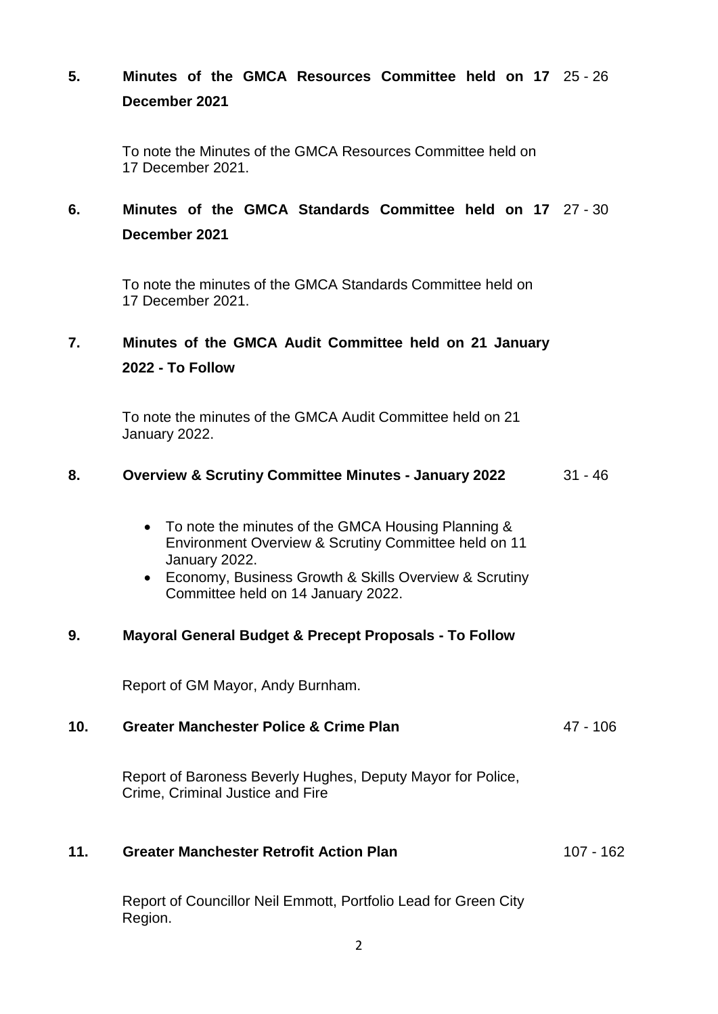## **5. Minutes of the GMCA Resources Committee held on 17** 25 - 26 **December 2021**

To note the Minutes of the GMCA Resources Committee held on 17 December 2021.

## **6. Minutes of the GMCA Standards Committee held on 17** 27 - 30 **December 2021**

To note the minutes of the GMCA Standards Committee held on 17 December 2021.

## **7. Minutes of the GMCA Audit Committee held on 21 January 2022 - To Follow**

To note the minutes of the GMCA Audit Committee held on 21 January 2022.

#### **8. Overview & Scrutiny Committee Minutes - January 2022** 31 - 46

- To note the minutes of the GMCA Housing Planning & Environment Overview & Scrutiny Committee held on 11 January 2022.
- Economy, Business Growth & Skills Overview & Scrutiny Committee held on 14 January 2022.

### **9. Mayoral General Budget & Precept Proposals - To Follow**

Report of GM Mayor, Andy Burnham.

#### **10. Greater Manchester Police & Crime Plan** 47 - 106

Report of Baroness Beverly Hughes, Deputy Mayor for Police, Crime, Criminal Justice and Fire

#### **11. Greater Manchester Retrofit Action Plan** 107 - 162

Report of Councillor Neil Emmott, Portfolio Lead for Green City Region.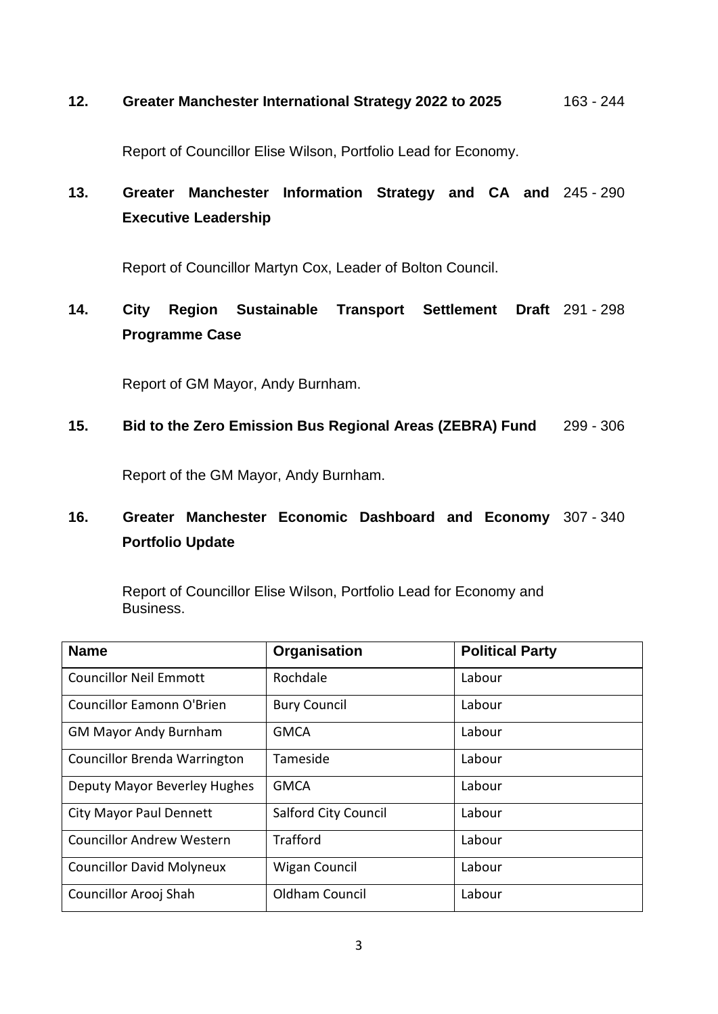#### **12. Greater Manchester International Strategy 2022 to 2025** 163 - 244

Report of Councillor Elise Wilson, Portfolio Lead for Economy.

# **13. Greater Manchester Information Strategy and CA and** 245 - 290 **Executive Leadership**

Report of Councillor Martyn Cox, Leader of Bolton Council.

## **14. City Region Sustainable Transport Settlement Draft** 291 - 298 **Programme Case**

Report of GM Mayor, Andy Burnham.

#### **15. Bid to the Zero Emission Bus Regional Areas (ZEBRA) Fund** 299 - 306

Report of the GM Mayor, Andy Burnham.

## **16. Greater Manchester Economic Dashboard and Economy** 307 - 340 **Portfolio Update**

Report of Councillor Elise Wilson, Portfolio Lead for Economy and Business.

| <b>Name</b>                         | Organisation                | <b>Political Party</b> |
|-------------------------------------|-----------------------------|------------------------|
| <b>Councillor Neil Emmott</b>       | Rochdale                    | Labour                 |
| Councillor Eamonn O'Brien           | <b>Bury Council</b>         | Labour                 |
| <b>GM Mayor Andy Burnham</b>        | <b>GMCA</b>                 | Labour                 |
| <b>Councillor Brenda Warrington</b> | Tameside                    | Labour                 |
| Deputy Mayor Beverley Hughes        | <b>GMCA</b>                 | Labour                 |
| <b>City Mayor Paul Dennett</b>      | <b>Salford City Council</b> | Labour                 |
| <b>Councillor Andrew Western</b>    | Trafford                    | Labour                 |
| <b>Councillor David Molyneux</b>    | <b>Wigan Council</b>        | Labour                 |
| Councillor Arooj Shah               | Oldham Council              | Labour                 |